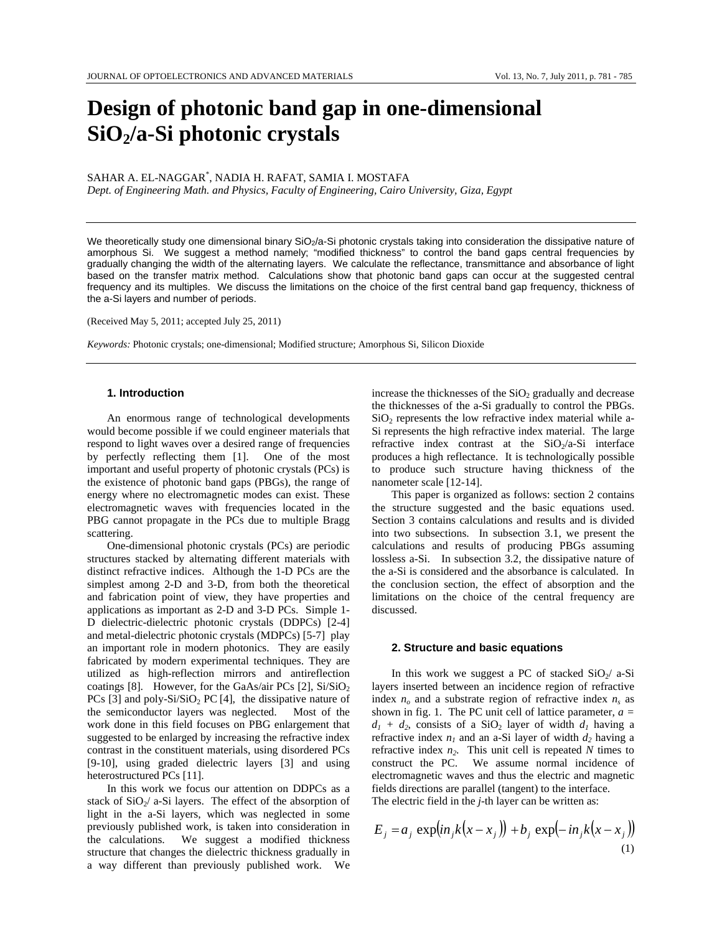# **Design of photonic band gap in one-dimensional SiO2/a-Si photonic crystals**

SAHAR A. EL-NAGGAR\* , NADIA H. RAFAT, SAMIA I. MOSTAFA *Dept. of Engineering Math. and Physics, Faculty of Engineering, Cairo University, Giza, Egypt* 

We theoretically study one dimensional binary  $SiO<sub>2</sub>/a-Si$  photonic crystals taking into consideration the dissipative nature of amorphous Si. We suggest a method namely; "modified thickness" to control the band gaps central frequencies by gradually changing the width of the alternating layers. We calculate the reflectance, transmittance and absorbance of light based on the transfer matrix method. Calculations show that photonic band gaps can occur at the suggested central frequency and its multiples. We discuss the limitations on the choice of the first central band gap frequency, thickness of the a-Si layers and number of periods.

(Received May 5, 2011; accepted July 25, 2011)

*Keywords:* Photonic crystals; one-dimensional; Modified structure; Amorphous Si, Silicon Dioxide

# **1. Introduction**

An enormous range of technological developments would become possible if we could engineer materials that respond to light waves over a desired range of frequencies by perfectly reflecting them [1]. One of the most important and useful property of photonic crystals (PCs) is the existence of photonic band gaps (PBGs), the range of energy where no electromagnetic modes can exist. These electromagnetic waves with frequencies located in the PBG cannot propagate in the PCs due to multiple Bragg scattering.

One-dimensional photonic crystals (PCs) are periodic structures stacked by alternating different materials with distinct refractive indices. Although the 1-D PCs are the simplest among 2-D and 3-D, from both the theoretical and fabrication point of view, they have properties and applications as important as 2-D and 3-D PCs. Simple 1- D dielectric-dielectric photonic crystals (DDPCs) [2-4] and metal-dielectric photonic crystals (MDPCs) [5-7] play an important role in modern photonics. They are easily fabricated by modern experimental techniques. They are utilized as high-reflection mirrors and antireflection coatings [8]. However, for the GaAs/air PCs [2],  $Si/SiO<sub>2</sub>$ PCs [3] and poly-Si/SiO<sub>2</sub> PC [4], the dissipative nature of the semiconductor layers was neglected. Most of the work done in this field focuses on PBG enlargement that suggested to be enlarged by increasing the refractive index contrast in the constituent materials, using disordered PCs [9-10], using graded dielectric layers [3] and using heterostructured PCs [11].

In this work we focus our attention on DDPCs as a stack of  $SiO_2/$  a-Si layers. The effect of the absorption of light in the a-Si layers, which was neglected in some previously published work, is taken into consideration in the calculations. We suggest a modified thickness structure that changes the dielectric thickness gradually in a way different than previously published work. We

increase the thicknesses of the  $SiO<sub>2</sub>$  gradually and decrease the thicknesses of the a-Si gradually to control the PBGs.  $SiO<sub>2</sub>$  represents the low refractive index material while a-Si represents the high refractive index material. The large refractive index contrast at the  $SiO<sub>2</sub>/a-Si$  interface produces a high reflectance. It is technologically possible to produce such structure having thickness of the nanometer scale [12-14].

This paper is organized as follows: section 2 contains the structure suggested and the basic equations used. Section 3 contains calculations and results and is divided into two subsections. In subsection 3.1, we present the calculations and results of producing PBGs assuming lossless a-Si. In subsection 3.2, the dissipative nature of the a-Si is considered and the absorbance is calculated. In the conclusion section, the effect of absorption and the limitations on the choice of the central frequency are discussed.

## **2. Structure and basic equations**

In this work we suggest a PC of stacked  $SiO_2/ a-Si$ layers inserted between an incidence region of refractive index  $n<sub>o</sub>$  and a substrate region of refractive index  $n<sub>s</sub>$  as shown in fig. 1. The PC unit cell of lattice parameter, *a =*   $d_1 + d_2$ , consists of a SiO<sub>2</sub> layer of width  $d_1$  having a refractive index  $n_1$  and an a-Si layer of width  $d_2$  having a refractive index  $n_2$ . This unit cell is repeated  $N$  times to construct the PC. We assume normal incidence of electromagnetic waves and thus the electric and magnetic fields directions are parallel (tangent) to the interface. The electric field in the *j-*th layer can be written as:

$$
E_j = a_j \exp(in_j k(x - x_j)) + b_j \exp(-in_j k(x - x_j))
$$
\n(1)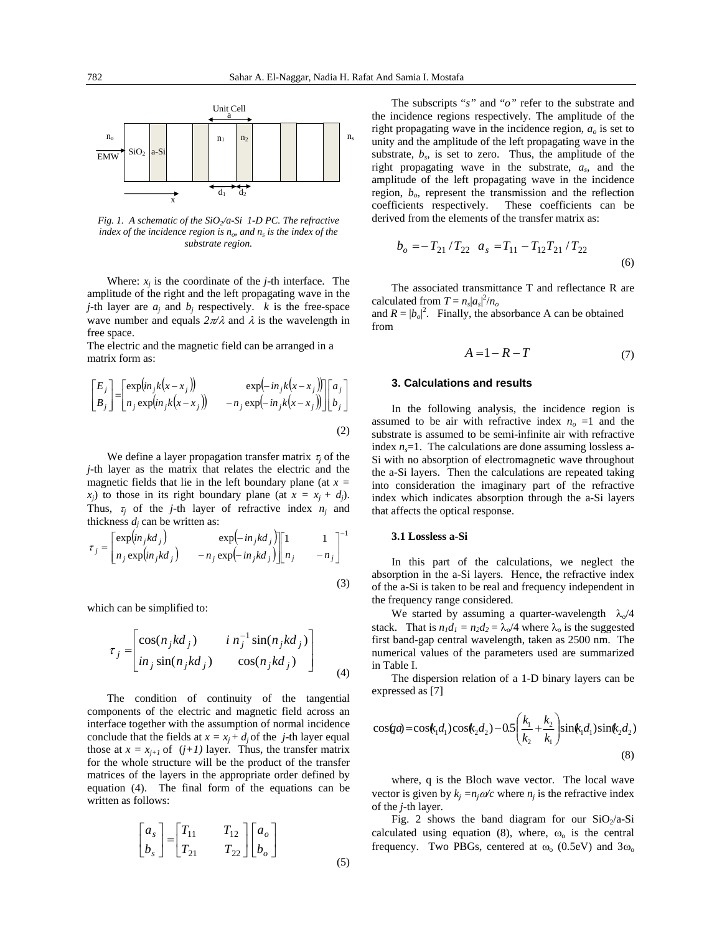

*Fig. 1. A schematic of the SiO<sub>2</sub>/a-Si 1-D PC. The refractive index of the incidence region is*  $n<sub>o</sub>$ *, and*  $n<sub>s</sub>$  *is the index of the substrate region.* 

Where:  $x_i$  is the coordinate of the  $j$ -th interface. The amplitude of the right and the left propagating wave in the *j*-th layer are  $a_j$  and  $b_j$  respectively. *k* is the free-space wave number and equals  $2\pi/\lambda$  and  $\lambda$  is the wavelength in free space.

The electric and the magnetic field can be arranged in a matrix form as:

$$
\begin{bmatrix} E_j \\ B_j \end{bmatrix} = \begin{bmatrix} \exp(in_j k(x - x_j)) & \exp(-in_j k(x - x_j)) \\ n_j \exp(in_j k(x - x_j)) & -n_j \exp(-in_j k(x - x_j)) \end{bmatrix} \begin{bmatrix} a_j \\ b_j \end{bmatrix}
$$
\n(2)

We define a layer propagation transfer matrix  $\tau_i$  of the *j-*th layer as the matrix that relates the electric and the magnetic fields that lie in the left boundary plane (at *x =*   $x_i$  to those in its right boundary plane (at  $x = x_i + d_i$ ). Thus,  $\tau_i$  of the *j*-th layer of refractive index  $n_i$  and thickness  $d_i$  can be written as:

$$
\tau_j = \begin{bmatrix} \exp(in_jkd_j) & \exp(-in_jkd_j) \\ n_j \exp(in_jkd_j) & -n_j \exp(-in_jkd_j) \end{bmatrix} \begin{bmatrix} 1 & 1 \\ n_j & -n_j \end{bmatrix}^{-1}
$$
\n(3)

which can be simplified to:

$$
\tau_j = \begin{bmatrix} \cos(n_j k d_j) & i n_j^{-1} \sin(n_j k d_j) \\ in_j \sin(n_j k d_j) & \cos(n_j k d_j) \end{bmatrix}
$$
\n(4)

The condition of continuity of the tangential components of the electric and magnetic field across an interface together with the assumption of normal incidence conclude that the fields at  $x = x_j + d_j$  of the *j*-th layer equal those at  $x = x_{j+1}$  of  $(j+1)$  layer. Thus, the transfer matrix for the whole structure will be the product of the transfer matrices of the layers in the appropriate order defined by equation (4). The final form of the equations can be written as follows:

$$
\begin{bmatrix} a_s \\ b_s \end{bmatrix} = \begin{bmatrix} T_{11} & T_{12} \\ T_{21} & T_{22} \end{bmatrix} \begin{bmatrix} a_o \\ b_o \end{bmatrix}
$$
\n(5)

The subscripts "*s"* and "*o"* refer to the substrate and the incidence regions respectively. The amplitude of the right propagating wave in the incidence region, *ao* is set to unity and the amplitude of the left propagating wave in the substrate,  $b_s$ , is set to zero. Thus, the amplitude of the right propagating wave in the substrate, *as*, and the amplitude of the left propagating wave in the incidence region,  $b_{\alpha}$ , represent the transmission and the reflection coefficients respectively. These coefficients can be derived from the elements of the transfer matrix as:

$$
b_o = -T_{21}/T_{22} \quad a_s = T_{11} - T_{12}T_{21}/T_{22}
$$
\n<sup>(6)</sup>

The associated transmittance T and reflectance R are calculated from  $T = n_s |a_s|^2/n_o$ 

and  $R = |b_o|^2$ . Finally, the absorbance A can be obtained from

$$
A = 1 - R - T \tag{7}
$$

# **3. Calculations and results**

In the following analysis, the incidence region is assumed to be air with refractive index  $n<sub>o</sub> = 1$  and the substrate is assumed to be semi-infinite air with refractive index  $n<sub>s</sub>=1$ . The calculations are done assuming lossless a-Si with no absorption of electromagnetic wave throughout the a-Si layers. Then the calculations are repeated taking into consideration the imaginary part of the refractive index which indicates absorption through the a-Si layers that affects the optical response.

#### **3.1 Lossless a-Si**

In this part of the calculations, we neglect the absorption in the a-Si layers. Hence, the refractive index of the a-Si is taken to be real and frequency independent in the frequency range considered.

We started by assuming a quarter-wavelength  $\lambda_0/4$ stack. That is  $n_1d_1 = n_2d_2 = \lambda_0/4$  where  $\lambda_0$  is the suggested first band-gap central wavelength, taken as 2500 nm. The numerical values of the parameters used are summarized in Table I.

The dispersion relation of a 1-D binary layers can be expressed as [7]

$$
\cos(qa) = \cos(k_1d_1)\cos(k_2d_2) - 0.5\left(\frac{k_1}{k_2} + \frac{k_2}{k_1}\right)\sin(k_1d_1)\sin(k_2d_2)
$$
\n(8)

where, q is the Bloch wave vector. The local wave vector is given by  $k_i = n_i \omega/c$  where  $n_i$  is the refractive index of the *j-*th layer.

Fig. 2 shows the band diagram for our  $SiO<sub>2</sub>/a-Si$ calculated using equation (8), where,  $\omega_0$  is the central frequency. Two PBGs, centered at  $\omega_0$  (0.5eV) and 3 $\omega_0$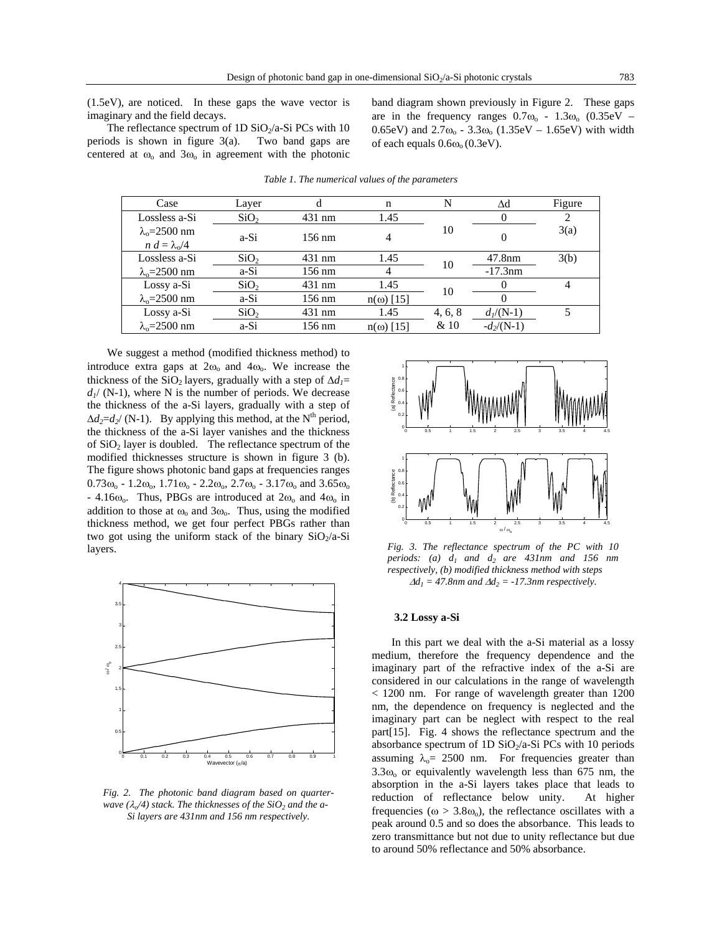(1.5eV), are noticed. In these gaps the wave vector is imaginary and the field decays.

The reflectance spectrum of 1D  $SiO<sub>2</sub>/a-Si$  PCs with 10 periods is shown in figure 3(a). Two band gaps are centered at  $\omega_0$  and  $3\omega_0$  in agreement with the photonic band diagram shown previously in Figure 2. These gaps are in the frequency ranges  $0.7\omega_0$  -  $1.3\omega_0$   $(0.35\text{eV}$  -0.65eV) and  $2.7\omega_0 - 3.3\omega_0$  (1.35eV – 1.65eV) with width of each equals  $0.6\omega_0(0.3eV)$ .

| Case                  | Layer            |                  | n                |         | Δd           | Figure |
|-----------------------|------------------|------------------|------------------|---------|--------------|--------|
| Lossless a-Si         | SiO <sub>2</sub> | 431 nm           | 1.45             |         |              | 2      |
| $\lambda_0 = 2500$ nm | a-Si             | $156 \text{ nm}$ |                  | 10      |              | 3(a)   |
| $n d = \lambda_0/4$   |                  |                  |                  |         |              |        |
| Lossless a-Si         | SiO <sub>2</sub> | $431 \text{ nm}$ | 1.45             | 10      | 47.8nm       | 3(b)   |
| $\lambda_0 = 2500$ nm | a-Si             | 156 nm           | 4                |         | $-17.3$ nm   |        |
| Lossy a-Si            | SiO <sub>2</sub> | $431 \text{ nm}$ | 1.45             | 10      |              | 4      |
| $\lambda_0 = 2500$ nm | a-Si             | 156 nm           | $n(\omega)$ [15] |         |              |        |
| Lossy a-Si            | SiO <sub>2</sub> | $431 \text{ nm}$ | 1.45             | 4, 6, 8 | $d_1/(N-1)$  | 5      |
| $\lambda_0 = 2500$ nm | a-Si             | 156 nm           | $n(\omega)$ [15] | & 10    | $-d_2/(N-1)$ |        |

*Table 1. The numerical values of the parameters* 

We suggest a method (modified thickness method) to introduce extra gaps at  $2\omega_0$  and  $4\omega_0$ . We increase the thickness of the SiO<sub>2</sub> layers, gradually with a step of  $\Delta d_1$ =  $d_1$ / (N-1), where N is the number of periods. We decrease the thickness of the a-Si layers, gradually with a step of  $\Delta d_2 = d_2$ / (N-1). By applying this method, at the N<sup>th</sup> period, the thickness of the a-Si layer vanishes and the thickness of  $SiO<sub>2</sub>$  layer is doubled. The reflectance spectrum of the modified thicknesses structure is shown in figure 3 (b). The figure shows photonic band gaps at frequencies ranges  $0.73\omega_0$  -  $1.2\omega_0$ ,  $1.71\omega_0$  -  $2.2\omega_0$ ,  $2.7\omega_0$  -  $3.17\omega_0$  and  $3.65\omega_0$  $-4.16\omega_{o}$ . Thus, PBGs are introduced at  $2\omega_{o}$  and  $4\omega_{o}$  in addition to those at  $\omega_0$  and  $3\omega_0$ . Thus, using the modified thickness method, we get four perfect PBGs rather than two got using the uniform stack of the binary  $SiO_2/a-Si$ layers.



*Fig. 2. The photonic band diagram based on quarterwave* ( $\lambda$ <sup> $/4$ </sup>) stack. The thicknesses of the SiO<sub>2</sub> and the a-*Si layers are 431nm and 156 nm respectively.* 



*Fig. 3. The reflectance spectrum of the PC with 10 periods:* (a)  $d_1$  and  $d_2$  are 431nm and 156 nm *respectively, (b) modified thickness method with steps*   $\Delta d_1 = 47.8$ nm and  $\Delta d_2 = -17.3$ nm respectively.

## **3.2 Lossy a-Si**

In this part we deal with the a-Si material as a lossy medium, therefore the frequency dependence and the imaginary part of the refractive index of the a-Si are considered in our calculations in the range of wavelength < 1200 nm. For range of wavelength greater than 1200 nm, the dependence on frequency is neglected and the imaginary part can be neglect with respect to the real part[15]. Fig. 4 shows the reflectance spectrum and the absorbance spectrum of 1D  $SiO<sub>2</sub>/a-Si$  PCs with 10 periods assuming  $\lambda_0$  = 2500 nm. For frequencies greater than  $3.3\omega_0$  or equivalently wavelength less than 675 nm, the absorption in the a-Si layers takes place that leads to reduction of reflectance below unity. At higher frequencies ( $\omega > 3.8\omega_{0}$ ), the reflectance oscillates with a peak around 0.5 and so does the absorbance. This leads to zero transmittance but not due to unity reflectance but due to around 50% reflectance and 50% absorbance.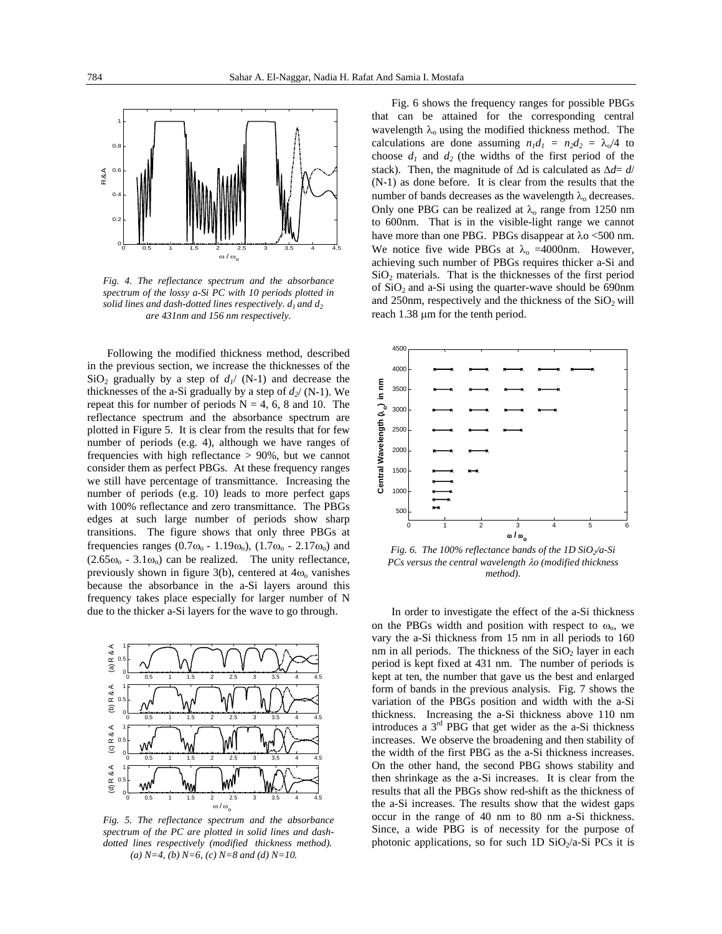

*Fig. 4. The reflectance spectrum and the absorbance spectrum of the lossy a-Si PC with 10 periods plotted in*  solid lines and dash-dotted lines respectively.  $d_1$  and  $d_2$ *are 431nm and 156 nm respectively.* 

Following the modified thickness method, described in the previous section, we increase the thicknesses of the  $SiO<sub>2</sub>$  gradually by a step of  $d<sub>1</sub>$  (N-1) and decrease the thicknesses of the a-Si gradually by a step of  $d_2$ / (N-1). We repeat this for number of periods  $N = 4, 6, 8$  and 10. The reflectance spectrum and the absorbance spectrum are plotted in Figure 5. It is clear from the results that for few number of periods (e.g. 4), although we have ranges of frequencies with high reflectance > 90%, but we cannot consider them as perfect PBGs. At these frequency ranges we still have percentage of transmittance. Increasing the number of periods (e.g. 10) leads to more perfect gaps with 100% reflectance and zero transmittance. The PBGs edges at such large number of periods show sharp transitions. The figure shows that only three PBGs at frequencies ranges (0.7 $\omega_0$  - 1.19 $\omega_0$ ), (1.7 $\omega_0$  - 2.17 $\omega_0$ ) and  $(2.65\omega_0 - 3.1\omega_0)$  can be realized. The unity reflectance, previously shown in figure  $3(b)$ , centered at  $4\omega_0$  vanishes because the absorbance in the a-Si layers around this frequency takes place especially for larger number of N due to the thicker a-Si layers for the wave to go through.



*Fig. 5. The reflectance spectrum and the absorbance spectrum of the PC are plotted in solid lines and dashdotted lines respectively (modified thickness method). (a) N=4, (b) N=6, (c) N=8 and (d) N=10.* 

Fig. 6 shows the frequency ranges for possible PBGs that can be attained for the corresponding central wavelength  $\lambda_0$  using the modified thickness method. The calculations are done assuming  $n_1d_1 = n_2d_2 = \lambda_0/4$  to choose  $d_1$  and  $d_2$  (the widths of the first period of the stack). Then, the magnitude of ∆d is calculated as ∆*d*= *d*/ (N-1) as done before. It is clear from the results that the number of bands decreases as the wavelength  $\lambda_0$  decreases. Only one PBG can be realized at  $\lambda_0$  range from 1250 nm to 600nm. That is in the visible-light range we cannot have more than one PBG. PBGs disappear at  $\lambda$ o <500 nm. We notice five wide PBGs at  $\lambda_0$  =4000nm. However, achieving such number of PBGs requires thicker a-Si and  $SiO<sub>2</sub>$  materials. That is the thicknesses of the first period of  $SiO<sub>2</sub>$  and a-Si using the quarter-wave should be 690nm and 250nm, respectively and the thickness of the  $SiO<sub>2</sub>$  will reach 1.38 µm for the tenth period.



*Fig. 6. The 100% reflectance bands of the 1D SiO2/a-Si PCs versus the central wavelength* λ*o (modified thickness method).* 

In order to investigate the effect of the a-Si thickness on the PBGs width and position with respect to  $\omega_{0}$ , we vary the a-Si thickness from 15 nm in all periods to 160 nm in all periods. The thickness of the  $SiO<sub>2</sub>$  layer in each period is kept fixed at 431 nm. The number of periods is kept at ten, the number that gave us the best and enlarged form of bands in the previous analysis. Fig. 7 shows the variation of the PBGs position and width with the a-Si thickness. Increasing the a-Si thickness above 110 nm introduces a 3rd PBG that get wider as the a-Si thickness increases. We observe the broadening and then stability of the width of the first PBG as the a-Si thickness increases. On the other hand, the second PBG shows stability and then shrinkage as the a-Si increases. It is clear from the results that all the PBGs show red-shift as the thickness of the a-Si increases. The results show that the widest gaps occur in the range of 40 nm to 80 nm a-Si thickness. Since, a wide PBG is of necessity for the purpose of photonic applications, so for such 1D  $SiO<sub>2</sub>/a-Si$  PCs it is